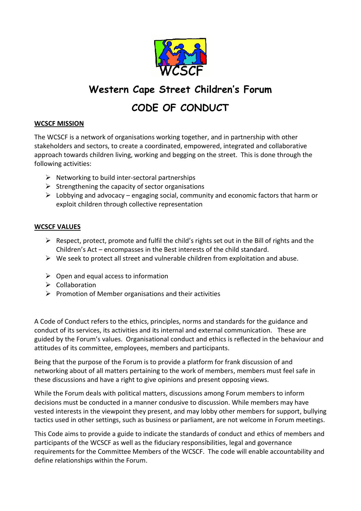

# **Western Cape Street Children's Forum**

## **CODE OF CONDUCT**

#### **WCSCF MISSION**

The WCSCF is a network of organisations working together, and in partnership with other stakeholders and sectors, to create a coordinated, empowered, integrated and collaborative approach towards children living, working and begging on the street. This is done through the following activities:

- $\triangleright$  Networking to build inter-sectoral partnerships
- $\triangleright$  Strengthening the capacity of sector organisations
- $\triangleright$  Lobbying and advocacy engaging social, community and economic factors that harm or exploit children through collective representation

#### **WCSCF VALUES**

- $\triangleright$  Respect, protect, promote and fulfil the child's rights set out in the Bill of rights and the Children's Act – encompasses in the Best interests of the child standard.
- $\triangleright$  We seek to protect all street and vulnerable children from exploitation and abuse.
- $\triangleright$  Open and equal access to information
- $\triangleright$  Collaboration
- $\triangleright$  Promotion of Member organisations and their activities

A Code of Conduct refers to the ethics, principles, norms and standards for the guidance and conduct of its services, its activities and its internal and external communication. These are guided by the Forum's values. Organisational conduct and ethics is reflected in the behaviour and attitudes of its committee, employees, members and participants.

Being that the purpose of the Forum is to provide a platform for frank discussion of and networking about of all matters pertaining to the work of members, members must feel safe in these discussions and have a right to give opinions and present opposing views.

While the Forum deals with political matters, discussions among Forum members to inform decisions must be conducted in a manner condusive to discussion. While members may have vested interests in the viewpoint they present, and may lobby other members for support, bullying tactics used in other settings, such as business or parliament, are not welcome in Forum meetings.

This Code aims to provide a guide to indicate the standards of conduct and ethics of members and participants of the WCSCF as well as the fiduciary responsibilities, legal and governance requirements for the Committee Members of the WCSCF. The code will enable accountability and define relationships within the Forum.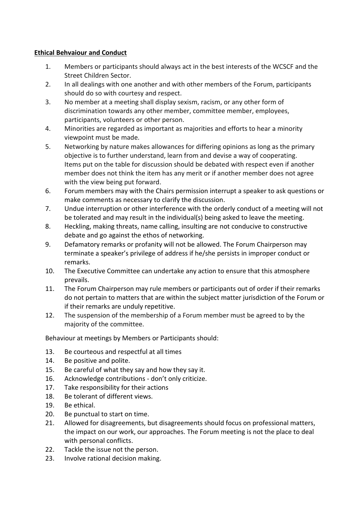#### **Ethical Behvaiour and Conduct**

- 1. Members or participants should always act in the best interests of the WCSCF and the Street Children Sector.
- 2. In all dealings with one another and with other members of the Forum, participants should do so with courtesy and respect.
- 3. No member at a meeting shall display sexism, racism, or any other form of discrimination towards any other member, committee member, employees, participants, volunteers or other person.
- 4. Minorities are regarded as important as majorities and efforts to hear a minority viewpoint must be made.
- 5. Networking by nature makes allowances for differing opinions as long as the primary objective is to further understand, learn from and devise a way of cooperating. Items put on the table for discussion should be debated with respect even if another member does not think the item has any merit or if another member does not agree with the view being put forward.
- 6. Forum members may with the Chairs permission interrupt a speaker to ask questions or make comments as necessary to clarify the discussion.
- 7. Undue interruption or other interference with the orderly conduct of a meeting will not be tolerated and may result in the individual(s) being asked to leave the meeting.
- 8. Heckling, making threats, name calling, insulting are not conducive to constructive debate and go against the ethos of networking.
- 9. Defamatory remarks or profanity will not be allowed. The Forum Chairperson may terminate a speaker's privilege of address if he/she persists in improper conduct or remarks.
- 10. The Executive Committee can undertake any action to ensure that this atmosphere prevails.
- 11. The Forum Chairperson may rule members or participants out of order if their remarks do not pertain to matters that are within the subject matter jurisdiction of the Forum or if their remarks are unduly repetitive.
- 12. The suspension of the membership of a Forum member must be agreed to by the majority of the committee.

Behaviour at meetings by Members or Participants should:

- 13. Be courteous and respectful at all times
- 14. Be positive and polite.
- 15. Be careful of what they say and how they say it.
- 16. Acknowledge contributions don't only criticize.
- 17. Take responsibility for their actions
- 18. Be tolerant of different views.
- 19. Be ethical.
- 20. Be punctual to start on time.
- 21. Allowed for disagreements, but disagreements should focus on professional matters, the impact on our work, our approaches. The Forum meeting is not the place to deal with personal conflicts.
- 22. Tackle the issue not the person.
- 23. Involve rational decision making.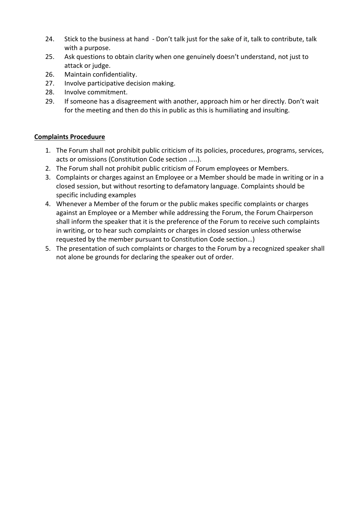- 24. Stick to the business at hand Don't talk just for the sake of it, talk to contribute, talk with a purpose.
- 25. Ask questions to obtain clarity when one genuinely doesn't understand, not just to attack or judge.
- 26. Maintain confidentiality.
- 27. Involve participative decision making.
- 28. Involve commitment.
- 29. If someone has a disagreement with another, approach him or her directly. Don't wait for the meeting and then do this in public as this is humiliating and insulting.

### **Complaints Proceduure**

- 1. The Forum shall not prohibit public criticism of its policies, procedures, programs, services, acts or omissions (Constitution Code section …..).
- 2. The Forum shall not prohibit public criticism of Forum employees or Members.
- 3. Complaints or charges against an Employee or a Member should be made in writing or in a closed session, but without resorting to defamatory language. Complaints should be specific including examples
- 4. Whenever a Member of the forum or the public makes specific complaints or charges against an Employee or a Member while addressing the Forum, the Forum Chairperson shall inform the speaker that it is the preference of the Forum to receive such complaints in writing, or to hear such complaints or charges in closed session unless otherwise requested by the member pursuant to Constitution Code section…)
- 5. The presentation of such complaints or charges to the Forum by a recognized speaker shall not alone be grounds for declaring the speaker out of order.